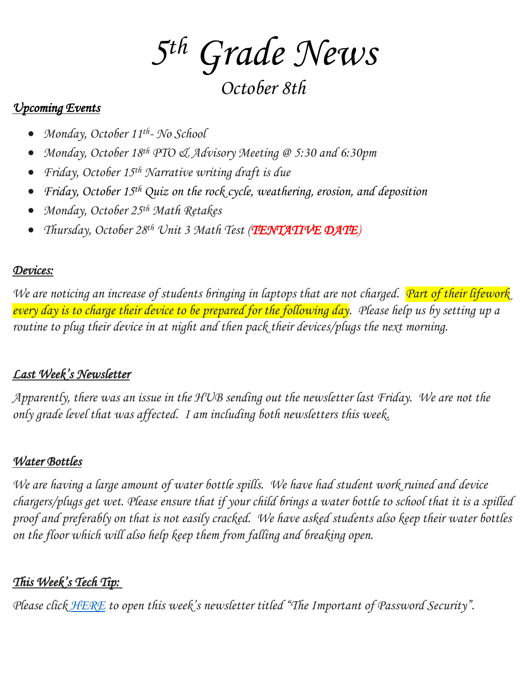*5 th Grade News*

*October 8th*

### *Upcoming Events*

- *Monday, October 11th - No School*
- *Monday, October 18th PTO & Advisory Meeting @ 5:30 and 6:30pm*
- *Friday, October 15th Narrative writing draft is due*
- *Friday, October 15th Quiz on the rock cycle, weathering, erosion, and deposition*
- *Monday, October 25th Math Retakes*
- *Thursday, October 28th Unit 3 Math Test (TENTATIVE DATE)*

## *Devices:*

*We are noticing an increase of students bringing in laptops that are not charged.* Part of their lifework *every day is to charge their device to be prepared for the following day. Please help us by setting up a routine to plug their device in at night and then pack their devices/plugs the next morning.*

## *Last Week's Newsletter*

*Apparently, there was an issue in the HUB sending out the newsletter last Friday. We are not the only grade level that was affected. I am including both newsletters this week.*

## *Water Bottles*

*We are having a large amount of water bottle spills. We have had student work ruined and device chargers/plugs get wet. Please ensure that if your child brings a water bottle to school that it is a spilled proof and preferably on that is not easily cracked. We have asked students also keep their water bottles on the floor which will also help keep them from falling and breaking open.*

# *This Week's Tech Tip:*

*Please click [HERE](https://www.canva.com/design/DAErlYxjCFA/Y_d6k3uytLd9wkJ4zqfcWQ/view?utm_content=DAErlYxjCFA&utm_campaign=designshare&utm_medium=link&utm_source=sharebutton) to open this week's newsletter titled "The Important of Password Security".*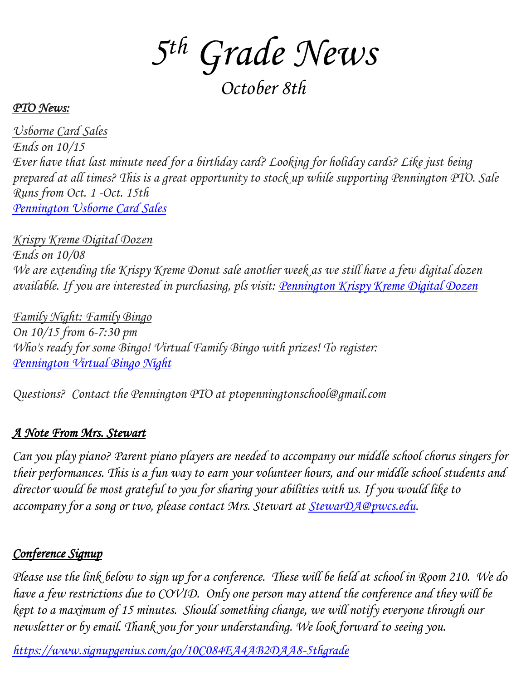*5 th Grade News*

*October 8th*

#### *PTO News:*

*Usborne Card Sales Ends on 10/15 Ever have that last minute need for a birthday card? Looking for holiday cards? Like just being prepared at all times? This is a great opportunity to stock up while supporting Pennington PTO. Sale Runs from Oct. 1 -Oct. 15th [Pennington](http://track.spe.schoolmessenger.com/f/a/M4WceoVJnlKgqMWXiBELIw~~/AAAAAQA~/RgRjPfPzP4SYAWh0dHBzOi8vbmFtMTAuc2FmZWxpbmtzLnByb3RlY3Rpb24ub3V0bG9vay5jb20vP3VybD1odHRwcyUzQSUyRiUyRnRpbnl1cmwuY29tJTJGcGVubmluZ3RvbnNjaG9vbHVzYm9ybmVjYXJkcyZkYXRhPTA0JTdDMDElN0NNQ0NVTExBWCU0MHB3Y3MuZWR1JTdDMzJkNTVkYWIwNzcyNGMwMWY3YjEwOGQ5ODgxOWFhZDclN0MxN2IwOWE2ZDk1ZTQ0ZDFlODVlMzFjZTBkNGRlN2ZjMSU3QzAlN0MwJTdDNjM3NjkwNDY3NjAxOTc1MDI0JTdDVW5rbm93biU3Q1RXRnBiR1pzYjNkOGV5SldJam9pTUM0d0xqQXdNREFpTENKUUlqb2lWMmx1TXpJaUxDSkJUaUk2SWsxaGFXd2lMQ0pYVkNJNk1uMCUzRCU3QzIwMDAmc2RhdGE9QUFmaWdOMlI2MDg4SzFnJTJCMjhJeGgxOFFIRXhIZWNwa3hsMCUyRmE0R0JzcGMlM0QmcmVzZXJ2ZWQ9MFcHc2Nob29sbUIKYVtzwFxhMDNwNFIRTUNDVUxMQVhAcHdjcy5lZHVYBAAAAAE~) Usborne Card Sales*

*Krispy Kreme Digital Dozen Ends on 10/08 We are extending the Krispy Kreme Donut sale another week as we still have a few digital dozen available. If you are interested in purchasing, pls visit: [Pennington](http://track.spe.schoolmessenger.com/f/a/3ZhrLdkF8zj1dNh0IFLpzw~~/AAAAAQA~/RgRjPfPzP4SQAWh0dHBzOi8vbmFtMTAuc2FmZWxpbmtzLnByb3RlY3Rpb24ub3V0bG9vay5jb20vP3VybD1odHRwcyUzQSUyRiUyRnRpbnl1cmwuY29tJTJGcGVubmluZ3RvbnNjaG9vbGRvbnV0cyZkYXRhPTA0JTdDMDElN0NNQ0NVTExBWCU0MHB3Y3MuZWR1JTdDMzJkNTVkYWIwNzcyNGMwMWY3YjEwOGQ5ODgxOWFhZDclN0MxN2IwOWE2ZDk1ZTQ0ZDFlODVlMzFjZTBkNGRlN2ZjMSU3QzAlN0MwJTdDNjM3NjkwNDY3NjAxOTg0OTgxJTdDVW5rbm93biU3Q1RXRnBiR1pzYjNkOGV5SldJam9pTUM0d0xqQXdNREFpTENKUUlqb2lWMmx1TXpJaUxDSkJUaUk2SWsxaGFXd2lMQ0pYVkNJNk1uMCUzRCU3QzIwMDAmc2RhdGE9MUM3ckthOUc3NVczWHI3TTdJa01IU0kwT0FXJTJCNnJUdFpwQVY1ZkxpR01rJTNEJnJlc2VydmVkPTBXB3NjaG9vbG1CCmFbc8BcYTAzcDRSEU1DQ1VMTEFYQHB3Y3MuZWR1WAQAAAAB) Krispy Kreme Digital Dozen*

*Family Night: Family Bingo On 10/15 from 6-7:30 pm Who's ready for some Bingo! Virtual Family Bingo with prizes! To register: [Pennington](http://track.spe.schoolmessenger.com/f/a/_4VMqHRNpPQn4opsV5i-iQ~~/AAAAAQA~/RgRjPfPzP4SlAWh0dHBzOi8vbmFtMTAuc2FmZWxpbmtzLnByb3RlY3Rpb24ub3V0bG9vay5jb20vP3VybD1odHRwcyUzQSUyRiUyRnd3dy5zaWdudXBnZW5pdXMuY29tJTJGZ28lMkYyMEYwODRBQUVBRjIyQTZGODUtcGVubmluZ3RvbiZkYXRhPTA0JTdDMDElN0NNQ0NVTExBWCU0MHB3Y3MuZWR1JTdDMzJkNTVkYWIwNzcyNGMwMWY3YjEwOGQ5ODgxOWFhZDclN0MxN2IwOWE2ZDk1ZTQ0ZDFlODVlMzFjZTBkNGRlN2ZjMSU3QzAlN0MwJTdDNjM3NjkwNDY3NjAxOTk0OTM2JTdDVW5rbm93biU3Q1RXRnBiR1pzYjNkOGV5SldJam9pTUM0d0xqQXdNREFpTENKUUlqb2lWMmx1TXpJaUxDSkJUaUk2SWsxaGFXd2lMQ0pYVkNJNk1uMCUzRCU3QzIwMDAmc2RhdGE9TDdSMUh1c1dXVThWUFhQTmElMkJqODRMZGJmZnVXT2dISjNINzdMWkFIMm1rJTNEJnJlc2VydmVkPTBXB3NjaG9vbG1CCmFbc8BcYTAzcDRSEU1DQ1VMTEFYQHB3Y3MuZWR1WAQAAAAB) Virtual Bingo Night*

*Questions? Contact the Pennington PTO at ptopenningtonschool@gmail.com* 

## *A Note From Mrs. Stewart*

*Can you play piano? Parent piano players are needed to accompany our middle school chorus singers for their performances. This is a fun way to earn your volunteer hours, and our middle school students and director would be most grateful to you for sharing your abilities with us. If you would like to accompany for a song or two, please contact Mrs. Stewart at [StewarDA@pwcs.edu.](mailto:StewarDA@pwcs.edu)*

## *Conference Signup*

*Please use the link below to sign up for a conference. These will be held at school in Room 210. We do have a few restrictions due to COVID. Only one person may attend the conference and they will be kept to a maximum of 15 minutes. Should something change, we will notify everyone through our newsletter or by email. Thank you for your understanding. We look forward to seeing you.*

*<https://www.signupgenius.com/go/10C084EA4AB2DAA8-5thgrade>*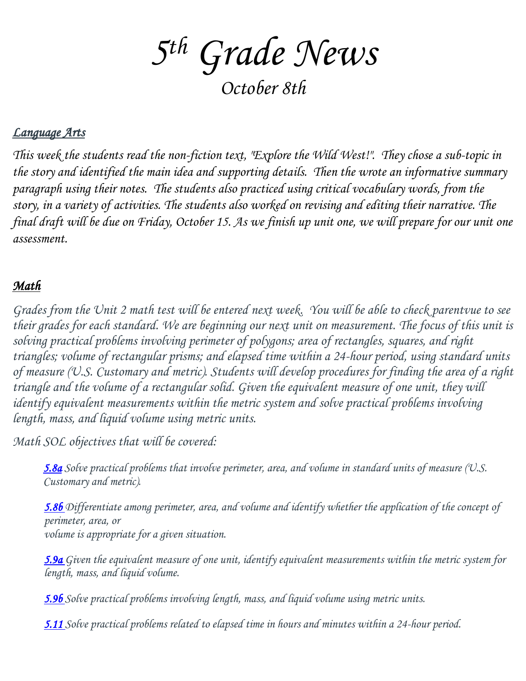*5 th Grade News*

*October 8th*

#### *Language Arts*

*This week the students read the non-fiction text, "Explore the Wild West!". They chose a sub-topic in the story and identified the main idea and supporting details. Then the wrote an informative summary paragraph using their notes. The students also practiced using critical vocabulary words, from the story, in a variety of activities. The students also worked on revising and editing their narrative. The final draft will be due on Friday, October 15. As we finish up unit one, we will prepare for our unit one assessment.*

## *Math*

*Grades from the Unit 2 math test will be entered next week. You will be able to check parentvue to see their grades for each standard. We are beginning our next unit on measurement. The focus of this unit is solving practical problems involving perimeter of polygons; area of rectangles, squares, and right triangles; volume of rectangular prisms; and elapsed time within a 24-hour period, using standard units of measure (U.S. Customary and metric). Students will develop procedures for finding the area of a right triangle and the volume of a rectangular solid. Given the equivalent measure of one unit, they will identify equivalent measurements within the metric system and solve practical problems involving length, mass, and liquid volume using metric units.*

*Math SOL objectives that will be covered:*

*5.8a Solve practical problems that involve perimeter, area, and volume in standard units of measure (U.S. Customary and metric).*

*5.8b Differentiate among perimeter, area, and volume and identify whether the application of the concept of perimeter, area, or volume is appropriate for a given situation.*

*5.9a Given the equivalent measure of one unit, identify equivalent measurements within the metric system for length, mass, and liquid volume.*

*5.9b Solve practical problems involving length, mass, and liquid volume using metric units.* 

*5.11 Solve practical problems related to elapsed time in hours and minutes within a 24-hour period.*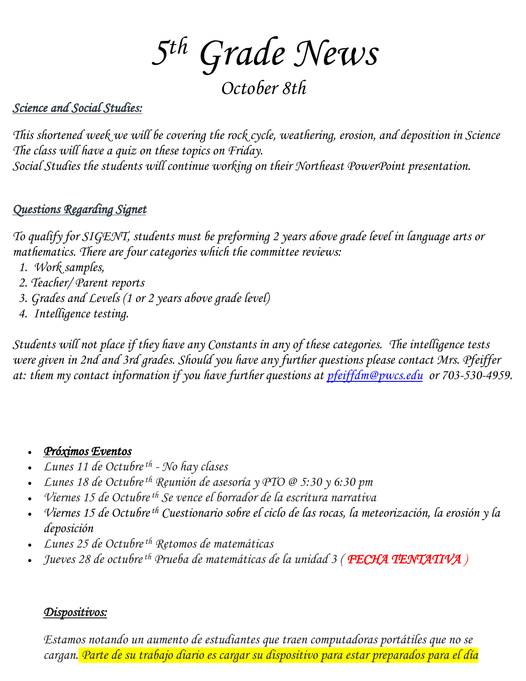*5 th Grade News*

*October 8th*

## *Science and Social Studies:*

*This shortened week we will be covering the rock cycle, weathering, erosion, and deposition in Science The class will have a quiz on these topics on Friday. Social Studies the students will continue working on their Northeast PowerPoint presentation.*

## *Questions Regarding Signet*

*To qualify for SIGENT, students must be preforming 2 years above grade level in language arts or mathematics. There are four categories which the committee reviews:*

- *1. Work samples,*
- *2. Teacher/ Parent reports*
- *3. Grades and Levels (1 or 2 years above grade level)*
- *4. Intelligence testing.*

*Students will not place if they have any Constants in any of these categories. The intelligence tests were given in 2nd and 3rd grades. Should you have any further questions please contact Mrs. Pfeiffer at: them my contact information if you have further questions at [pfeiffdm@pwcs.edu](mailto:pfeiffdm@pwcs.edu) or 703-530-4959.*

#### • *Próximos Eventos*

- *Lunes 11 de Octubreth - No hay clases*
- *Lunes 18 de Octubreth Reunión de asesoría y PTO @ 5:30 y 6:30 pm*
- *Viernes 15 de Octubreth Se vence el borrador de la escritura narrativa*
- *Viernes 15 de Octubreth Cuestionario sobre el ciclo de las rocas, la meteorización, la erosión y la deposición*
- *Lunes 25 de Octubreth Retomos de matemáticas*
- *Jueves 28 de octubreth Prueba de matemáticas de la unidad 3 ( FECHA TENTATIVA )*

#### *Dispositivos:*

*Estamos notando un aumento de estudiantes que traen computadoras portátiles que no se cargan. Parte de su trabajo diario es cargar su dispositivo para estar preparados para el día*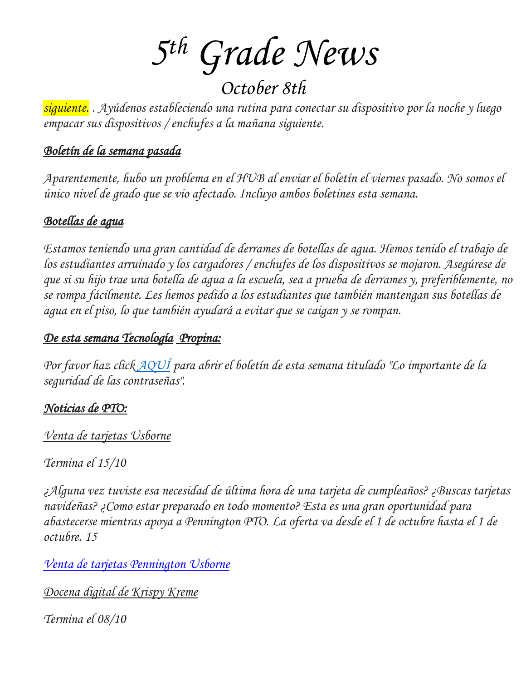*5 th Grade News*

*October 8th*

*siguiente. . Ayúdenos estableciendo una rutina para conectar su dispositivo por la noche y luego empacar sus dispositivos / enchufes a la mañana siguiente.*

### *Boletín de la semana pasada*

*Aparentemente, hubo un problema en el HUB al enviar el boletín el viernes pasado. No somos el único nivel de grado que se vio afectado. Incluyo ambos boletines esta semana.*

### *Botellas de agua*

*Estamos teniendo una gran cantidad de derrames de botellas de agua. Hemos tenido el trabajo de los estudiantes arruinado y los cargadores / enchufes de los dispositivos se mojaron. Asegúrese de que si su hijo trae una botella de agua a la escuela, sea a prueba de derrames y, preferiblemente, no se rompa fácilmente. Les hemos pedido a los estudiantes que también mantengan sus botellas de agua en el piso, lo que también ayudará a evitar que se caigan y se rompan.*

#### *De esta semana Tecnología Propina:*

*Por favor haz click [AQUÍ](https://www.canva.com/design/DAErlYxjCFA/Y_d6k3uytLd9wkJ4zqfcWQ/view?utm_content=DAErlYxjCFA&utm_campaign=designshare&utm_medium=link&utm_source=sharebutton) para abrir el boletín de esta semana titulado "Lo importante de la seguridad de las contraseñas".*

### *Noticias de PTO:*

*Venta de tarjetas Usborne*

*Termina el 15/10*

*¿Alguna vez tuviste esa necesidad de última hora de una tarjeta de cumpleaños? ¿Buscas tarjetas navideñas? ¿Como estar preparado en todo momento? Esta es una gran oportunidad para abastecerse mientras apoya a Pennington PTO. La oferta va desde el 1 de octubre hasta el 1 de octubre. 15*

*Venta de tarjetas [Pennington](http://track.spe.schoolmessenger.com/f/a/M4WceoVJnlKgqMWXiBELIw~~/AAAAAQA~/RgRjPfPzP4SYAWh0dHBzOi8vbmFtMTAuc2FmZWxpbmtzLnByb3RlY3Rpb24ub3V0bG9vay5jb20vP3VybD1odHRwcyUzQSUyRiUyRnRpbnl1cmwuY29tJTJGcGVubmluZ3RvbnNjaG9vbHVzYm9ybmVjYXJkcyZkYXRhPTA0JTdDMDElN0NNQ0NVTExBWCU0MHB3Y3MuZWR1JTdDMzJkNTVkYWIwNzcyNGMwMWY3YjEwOGQ5ODgxOWFhZDclN0MxN2IwOWE2ZDk1ZTQ0ZDFlODVlMzFjZTBkNGRlN2ZjMSU3QzAlN0MwJTdDNjM3NjkwNDY3NjAxOTc1MDI0JTdDVW5rbm93biU3Q1RXRnBiR1pzYjNkOGV5SldJam9pTUM0d0xqQXdNREFpTENKUUlqb2lWMmx1TXpJaUxDSkJUaUk2SWsxaGFXd2lMQ0pYVkNJNk1uMCUzRCU3QzIwMDAmc2RhdGE9QUFmaWdOMlI2MDg4SzFnJTJCMjhJeGgxOFFIRXhIZWNwa3hsMCUyRmE0R0JzcGMlM0QmcmVzZXJ2ZWQ9MFcHc2Nob29sbUIKYVtzwFxhMDNwNFIRTUNDVUxMQVhAcHdjcy5lZHVYBAAAAAE~) Usborne*

*Docena digital de Krispy Kreme*

*Termina el 08/10*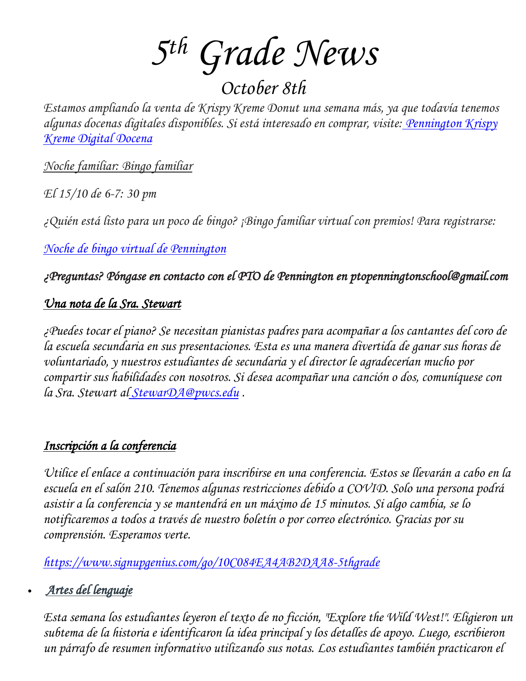*5 th Grade News*

*October 8th*

*Estamos ampliando la venta de Krispy Kreme Donut una semana más, ya que todavía tenemos algunas docenas digitales disponibles. Si está interesado en comprar, visite: [Pennington](http://track.spe.schoolmessenger.com/f/a/3ZhrLdkF8zj1dNh0IFLpzw~~/AAAAAQA~/RgRjPfPzP4SQAWh0dHBzOi8vbmFtMTAuc2FmZWxpbmtzLnByb3RlY3Rpb24ub3V0bG9vay5jb20vP3VybD1odHRwcyUzQSUyRiUyRnRpbnl1cmwuY29tJTJGcGVubmluZ3RvbnNjaG9vbGRvbnV0cyZkYXRhPTA0JTdDMDElN0NNQ0NVTExBWCU0MHB3Y3MuZWR1JTdDMzJkNTVkYWIwNzcyNGMwMWY3YjEwOGQ5ODgxOWFhZDclN0MxN2IwOWE2ZDk1ZTQ0ZDFlODVlMzFjZTBkNGRlN2ZjMSU3QzAlN0MwJTdDNjM3NjkwNDY3NjAxOTg0OTgxJTdDVW5rbm93biU3Q1RXRnBiR1pzYjNkOGV5SldJam9pTUM0d0xqQXdNREFpTENKUUlqb2lWMmx1TXpJaUxDSkJUaUk2SWsxaGFXd2lMQ0pYVkNJNk1uMCUzRCU3QzIwMDAmc2RhdGE9MUM3ckthOUc3NVczWHI3TTdJa01IU0kwT0FXJTJCNnJUdFpwQVY1ZkxpR01rJTNEJnJlc2VydmVkPTBXB3NjaG9vbG1CCmFbc8BcYTAzcDRSEU1DQ1VMTEFYQHB3Y3MuZWR1WAQAAAAB) Krispy Kreme Digital [Docena](http://track.spe.schoolmessenger.com/f/a/3ZhrLdkF8zj1dNh0IFLpzw~~/AAAAAQA~/RgRjPfPzP4SQAWh0dHBzOi8vbmFtMTAuc2FmZWxpbmtzLnByb3RlY3Rpb24ub3V0bG9vay5jb20vP3VybD1odHRwcyUzQSUyRiUyRnRpbnl1cmwuY29tJTJGcGVubmluZ3RvbnNjaG9vbGRvbnV0cyZkYXRhPTA0JTdDMDElN0NNQ0NVTExBWCU0MHB3Y3MuZWR1JTdDMzJkNTVkYWIwNzcyNGMwMWY3YjEwOGQ5ODgxOWFhZDclN0MxN2IwOWE2ZDk1ZTQ0ZDFlODVlMzFjZTBkNGRlN2ZjMSU3QzAlN0MwJTdDNjM3NjkwNDY3NjAxOTg0OTgxJTdDVW5rbm93biU3Q1RXRnBiR1pzYjNkOGV5SldJam9pTUM0d0xqQXdNREFpTENKUUlqb2lWMmx1TXpJaUxDSkJUaUk2SWsxaGFXd2lMQ0pYVkNJNk1uMCUzRCU3QzIwMDAmc2RhdGE9MUM3ckthOUc3NVczWHI3TTdJa01IU0kwT0FXJTJCNnJUdFpwQVY1ZkxpR01rJTNEJnJlc2VydmVkPTBXB3NjaG9vbG1CCmFbc8BcYTAzcDRSEU1DQ1VMTEFYQHB3Y3MuZWR1WAQAAAAB)*

*Noche familiar: Bingo familiar*

*El 15/10 de 6-7: 30 pm*

*¿Quién está listo para un poco de bingo? ¡Bingo familiar virtual con premios! Para registrarse:*

*Noche de bingo virtual de [Pennington](http://track.spe.schoolmessenger.com/f/a/_4VMqHRNpPQn4opsV5i-iQ~~/AAAAAQA~/RgRjPfPzP4SlAWh0dHBzOi8vbmFtMTAuc2FmZWxpbmtzLnByb3RlY3Rpb24ub3V0bG9vay5jb20vP3VybD1odHRwcyUzQSUyRiUyRnd3dy5zaWdudXBnZW5pdXMuY29tJTJGZ28lMkYyMEYwODRBQUVBRjIyQTZGODUtcGVubmluZ3RvbiZkYXRhPTA0JTdDMDElN0NNQ0NVTExBWCU0MHB3Y3MuZWR1JTdDMzJkNTVkYWIwNzcyNGMwMWY3YjEwOGQ5ODgxOWFhZDclN0MxN2IwOWE2ZDk1ZTQ0ZDFlODVlMzFjZTBkNGRlN2ZjMSU3QzAlN0MwJTdDNjM3NjkwNDY3NjAxOTk0OTM2JTdDVW5rbm93biU3Q1RXRnBiR1pzYjNkOGV5SldJam9pTUM0d0xqQXdNREFpTENKUUlqb2lWMmx1TXpJaUxDSkJUaUk2SWsxaGFXd2lMQ0pYVkNJNk1uMCUzRCU3QzIwMDAmc2RhdGE9TDdSMUh1c1dXVThWUFhQTmElMkJqODRMZGJmZnVXT2dISjNINzdMWkFIMm1rJTNEJnJlc2VydmVkPTBXB3NjaG9vbG1CCmFbc8BcYTAzcDRSEU1DQ1VMTEFYQHB3Y3MuZWR1WAQAAAAB)*

*¿Preguntas? Póngase en contacto con el PTO de Pennington en ptopenningtonschool@gmail.com*

## *Una nota de la Sra. Stewart*

*¿Puedes tocar el piano? Se necesitan pianistas padres para acompañar a los cantantes del coro de la escuela secundaria en sus presentaciones. Esta es una manera divertida de ganar sus horas de voluntariado, y nuestros estudiantes de secundaria y el director le agradecerían mucho por compartir sus habilidades con nosotros. Si desea acompañar una canción o dos, comuníquese con la Sra. Stewart al [StewarDA@pwcs.edu](mailto:StewarDA@pwcs.edu) .*

### *Inscripción a la conferencia*

*Utilice el enlace a continuación para inscribirse en una conferencia. Estos se llevarán a cabo en la escuela en el salón 210. Tenemos algunas restricciones debido a COVID. Solo una persona podrá asistir a la conferencia y se mantendrá en un máximo de 15 minutos. Si algo cambia, se lo notificaremos a todos a través de nuestro boletín o por correo electrónico. Gracias por su comprensión. Esperamos verte.*

*<https://www.signupgenius.com/go/10C084EA4AB2DAA8-5thgrade>*

## • *Artes del lenguaje*

*Esta semana los estudiantes leyeron el texto de no ficción, "Explore the Wild West!". Eligieron un subtema de la historia e identificaron la idea principal y los detalles de apoyo. Luego, escribieron un párrafo de resumen informativo utilizando sus notas. Los estudiantes también practicaron el*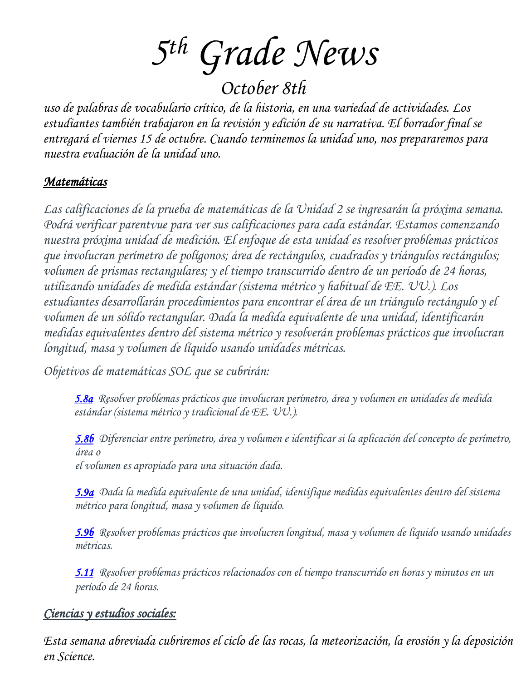*5 th Grade News*

*October 8th*

*uso de palabras de vocabulario crítico, de la historia, en una variedad de actividades. Los estudiantes también trabajaron en la revisión y edición de su narrativa. El borrador final se entregará el viernes 15 de octubre. Cuando terminemos la unidad uno, nos prepararemos para nuestra evaluación de la unidad uno.*

#### *Matemáticas*

*Las calificaciones de la prueba de matemáticas de la Unidad 2 se ingresarán la próxima semana. Podrá verificar parentvue para ver sus calificaciones para cada estándar. Estamos comenzando nuestra próxima unidad de medición. El enfoque de esta unidad es resolver problemas prácticos que involucran perímetro de polígonos; área de rectángulos, cuadrados y triángulos rectángulos; volumen de prismas rectangulares; y el tiempo transcurrido dentro de un período de 24 horas, utilizando unidades de medida estándar (sistema métrico y habitual de EE. UU.). Los estudiantes desarrollarán procedimientos para encontrar el área de un triángulo rectángulo y el volumen de un sólido rectangular. Dada la medida equivalente de una unidad, identificarán medidas equivalentes dentro del sistema métrico y resolverán problemas prácticos que involucran longitud, masa y volumen de líquido usando unidades métricas.*

*Objetivos de matemáticas SOL que se cubrirán:*

*5.8a Resolver problemas prácticos que involucran perímetro, área y volumen en unidades de medida estándar (sistema métrico y tradicional de EE. UU.).*

*5.8b Diferenciar entre perímetro, área y volumen e identificar si la aplicación del concepto de perímetro, área o*

*el volumen es apropiado para una situación dada.*

*5.9a Dada la medida equivalente de una unidad, identifique medidas equivalentes dentro del sistema métrico para longitud, masa y volumen de líquido.*

*5.9b Resolver problemas prácticos que involucren longitud, masa y volumen de líquido usando unidades métricas.*

*5.11 Resolver problemas prácticos relacionados con el tiempo transcurrido en horas y minutos en un período de 24 horas.*

### *Ciencias y estudios sociales:*

*Esta semana abreviada cubriremos el ciclo de las rocas, la meteorización, la erosión y la deposición en Science.*